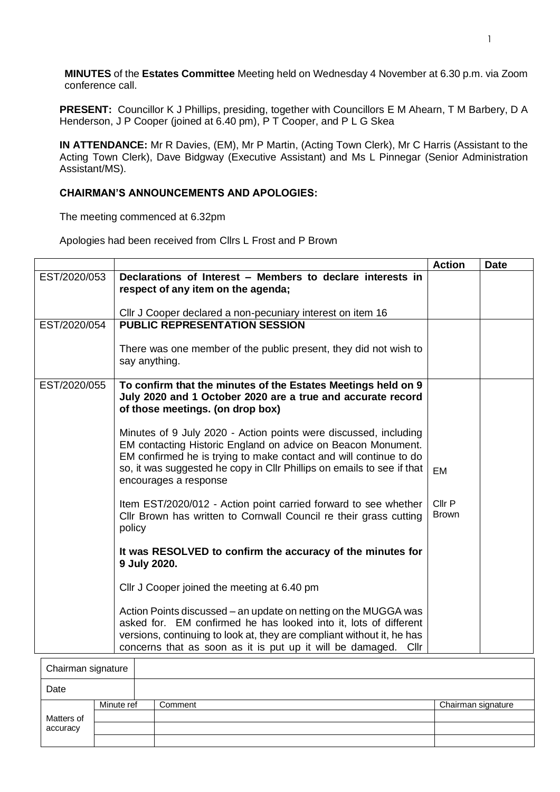**MINUTES** of the **Estates Committee** Meeting held on Wednesday 4 November at 6.30 p.m. via Zoom conference call.

**PRESENT:** Councillor K J Phillips, presiding, together with Councillors E M Ahearn, T M Barbery, D A Henderson, J P Cooper (joined at 6.40 pm), P T Cooper, and P L G Skea

**IN ATTENDANCE:** Mr R Davies, (EM), Mr P Martin, (Acting Town Clerk), Mr C Harris (Assistant to the Acting Town Clerk), Dave Bidgway (Executive Assistant) and Ms L Pinnegar (Senior Administration Assistant/MS).

## **CHAIRMAN'S ANNOUNCEMENTS AND APOLOGIES:**

The meeting commenced at 6.32pm

Apologies had been received from Cllrs L Frost and P Brown

|              |                                                                                                                                                                                                                                                                                                          | <b>Action</b>          | <b>Date</b> |
|--------------|----------------------------------------------------------------------------------------------------------------------------------------------------------------------------------------------------------------------------------------------------------------------------------------------------------|------------------------|-------------|
| EST/2020/053 | Declarations of Interest - Members to declare interests in<br>respect of any item on the agenda;                                                                                                                                                                                                         |                        |             |
|              | CIIr J Cooper declared a non-pecuniary interest on item 16                                                                                                                                                                                                                                               |                        |             |
| EST/2020/054 | <b>PUBLIC REPRESENTATION SESSION</b>                                                                                                                                                                                                                                                                     |                        |             |
|              | There was one member of the public present, they did not wish to<br>say anything.                                                                                                                                                                                                                        |                        |             |
| EST/2020/055 | To confirm that the minutes of the Estates Meetings held on 9<br>July 2020 and 1 October 2020 are a true and accurate record<br>of those meetings. (on drop box)                                                                                                                                         |                        |             |
|              | Minutes of 9 July 2020 - Action points were discussed, including<br>EM contacting Historic England on advice on Beacon Monument.<br>EM confirmed he is trying to make contact and will continue to do<br>so, it was suggested he copy in Cllr Phillips on emails to see if that<br>encourages a response | EM                     |             |
|              | Item EST/2020/012 - Action point carried forward to see whether<br>Cllr Brown has written to Cornwall Council re their grass cutting<br>policy                                                                                                                                                           | Cllr P<br><b>Brown</b> |             |
|              | It was RESOLVED to confirm the accuracy of the minutes for<br>9 July 2020.                                                                                                                                                                                                                               |                        |             |
|              | Cllr J Cooper joined the meeting at 6.40 pm                                                                                                                                                                                                                                                              |                        |             |
|              | Action Points discussed – an update on netting on the MUGGA was<br>asked for. EM confirmed he has looked into it, lots of different<br>versions, continuing to look at, they are compliant without it, he has<br>concerns that as soon as it is put up it will be damaged.<br>Cllr                       |                        |             |

| Chairman signature |            |         |                    |
|--------------------|------------|---------|--------------------|
| Date               |            |         |                    |
|                    | Minute ref | Comment | Chairman signature |
| Matters of         |            |         |                    |
| accuracy           |            |         |                    |
|                    |            |         |                    |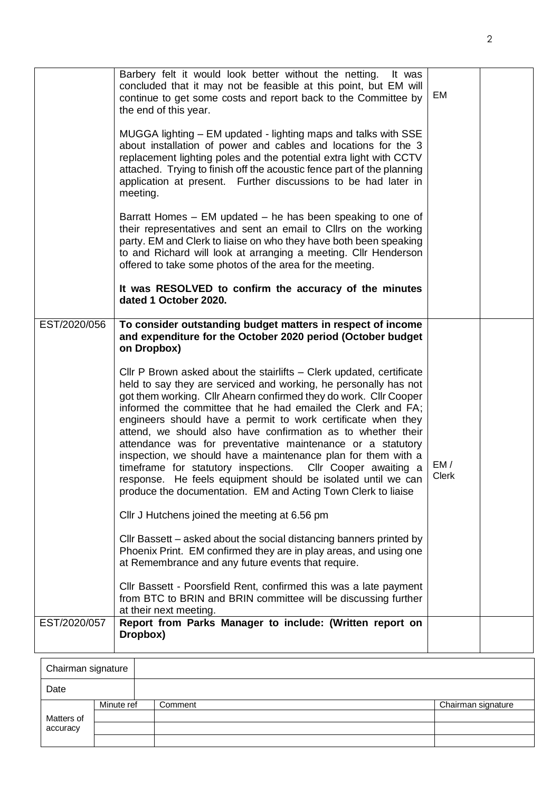|              | Barbery felt it would look better without the netting.<br>It was<br>concluded that it may not be feasible at this point, but EM will<br>continue to get some costs and report back to the Committee by<br>the end of this year.<br>MUGGA lighting – EM updated - lighting maps and talks with SSE<br>about installation of power and cables and locations for the 3<br>replacement lighting poles and the potential extra light with CCTV<br>attached. Trying to finish off the acoustic fence part of the planning<br>application at present. Further discussions to be had later in<br>meeting.<br>Barratt Homes – EM updated – he has been speaking to one of<br>their representatives and sent an email to Cllrs on the working<br>party. EM and Clerk to liaise on who they have both been speaking<br>to and Richard will look at arranging a meeting. Cllr Henderson<br>offered to take some photos of the area for the meeting.<br>It was RESOLVED to confirm the accuracy of the minutes<br>dated 1 October 2020.                                                                                                                                                                                                                                                                                    | EM            |  |
|--------------|---------------------------------------------------------------------------------------------------------------------------------------------------------------------------------------------------------------------------------------------------------------------------------------------------------------------------------------------------------------------------------------------------------------------------------------------------------------------------------------------------------------------------------------------------------------------------------------------------------------------------------------------------------------------------------------------------------------------------------------------------------------------------------------------------------------------------------------------------------------------------------------------------------------------------------------------------------------------------------------------------------------------------------------------------------------------------------------------------------------------------------------------------------------------------------------------------------------------------------------------------------------------------------------------------------------|---------------|--|
| EST/2020/056 | To consider outstanding budget matters in respect of income<br>and expenditure for the October 2020 period (October budget<br>on Dropbox)<br>CIIr P Brown asked about the stairlifts – Clerk updated, certificate<br>held to say they are serviced and working, he personally has not<br>got them working. Cllr Ahearn confirmed they do work. Cllr Cooper<br>informed the committee that he had emailed the Clerk and FA;<br>engineers should have a permit to work certificate when they<br>attend, we should also have confirmation as to whether their<br>attendance was for preventative maintenance or a statutory<br>inspection, we should have a maintenance plan for them with a<br>timeframe for statutory inspections. Cllr Cooper awaiting a<br>response. He feels equipment should be isolated until we can<br>produce the documentation. EM and Acting Town Clerk to liaise<br>Cllr J Hutchens joined the meeting at 6.56 pm<br>Cllr Bassett – asked about the social distancing banners printed by<br>Phoenix Print. EM confirmed they are in play areas, and using one<br>at Remembrance and any future events that require.<br>Cllr Bassett - Poorsfield Rent, confirmed this was a late payment<br>from BTC to BRIN and BRIN committee will be discussing further<br>at their next meeting. | EM /<br>Clerk |  |
| EST/2020/057 | Report from Parks Manager to include: (Written report on<br>Dropbox)                                                                                                                                                                                                                                                                                                                                                                                                                                                                                                                                                                                                                                                                                                                                                                                                                                                                                                                                                                                                                                                                                                                                                                                                                                          |               |  |

| Chairman signature |            |         |                    |  |
|--------------------|------------|---------|--------------------|--|
| Date               |            |         |                    |  |
|                    | Minute ref | Comment | Chairman signature |  |
| Matters of         |            |         |                    |  |
| accuracy           |            |         |                    |  |
|                    |            |         |                    |  |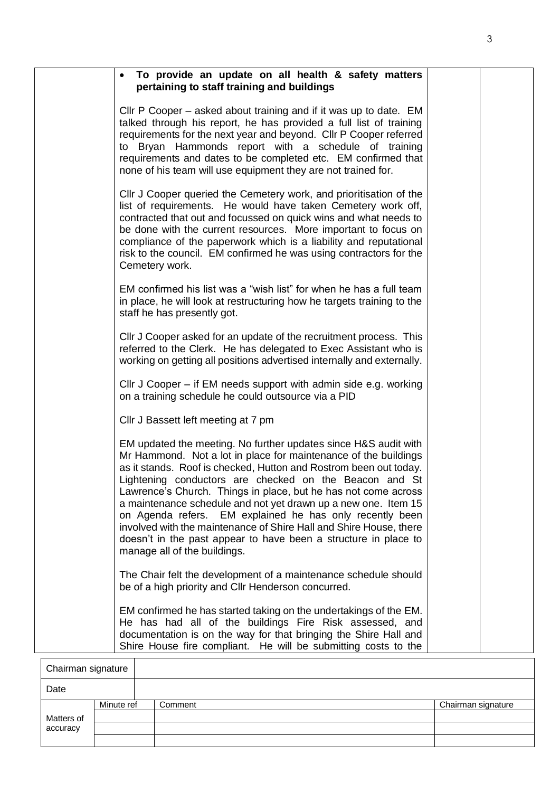| To provide an update on all health & safety matters<br>pertaining to staff training and buildings                                                                                                                                                                                                                                                                                                                                                                                                                                                                                                                                          |  |
|--------------------------------------------------------------------------------------------------------------------------------------------------------------------------------------------------------------------------------------------------------------------------------------------------------------------------------------------------------------------------------------------------------------------------------------------------------------------------------------------------------------------------------------------------------------------------------------------------------------------------------------------|--|
| CIIr P Cooper – asked about training and if it was up to date. EM<br>talked through his report, he has provided a full list of training<br>requirements for the next year and beyond. Cllr P Cooper referred<br>to Bryan Hammonds report with a schedule of training<br>requirements and dates to be completed etc. EM confirmed that<br>none of his team will use equipment they are not trained for.                                                                                                                                                                                                                                     |  |
| CIIr J Cooper queried the Cemetery work, and prioritisation of the<br>list of requirements. He would have taken Cemetery work off,<br>contracted that out and focussed on quick wins and what needs to<br>be done with the current resources. More important to focus on<br>compliance of the paperwork which is a liability and reputational<br>risk to the council. EM confirmed he was using contractors for the<br>Cemetery work.                                                                                                                                                                                                      |  |
| EM confirmed his list was a "wish list" for when he has a full team<br>in place, he will look at restructuring how he targets training to the<br>staff he has presently got.                                                                                                                                                                                                                                                                                                                                                                                                                                                               |  |
| CIIr J Cooper asked for an update of the recruitment process. This<br>referred to the Clerk. He has delegated to Exec Assistant who is<br>working on getting all positions advertised internally and externally.                                                                                                                                                                                                                                                                                                                                                                                                                           |  |
| CIIr J Cooper – if EM needs support with admin side e.g. working<br>on a training schedule he could outsource via a PID                                                                                                                                                                                                                                                                                                                                                                                                                                                                                                                    |  |
| Cllr J Bassett left meeting at 7 pm                                                                                                                                                                                                                                                                                                                                                                                                                                                                                                                                                                                                        |  |
| EM updated the meeting. No further updates since H&S audit with<br>Mr Hammond. Not a lot in place for maintenance of the buildings<br>as it stands. Roof is checked, Hutton and Rostrom been out today.<br>Lightening conductors are checked on the Beacon and St<br>Lawrence's Church. Things in place, but he has not come across<br>a maintenance schedule and not yet drawn up a new one. Item 15<br>on Agenda refers. EM explained he has only recently been<br>involved with the maintenance of Shire Hall and Shire House, there<br>doesn't in the past appear to have been a structure in place to<br>manage all of the buildings. |  |
| The Chair felt the development of a maintenance schedule should<br>be of a high priority and Cllr Henderson concurred.                                                                                                                                                                                                                                                                                                                                                                                                                                                                                                                     |  |
| EM confirmed he has started taking on the undertakings of the EM.<br>He has had all of the buildings Fire Risk assessed, and<br>documentation is on the way for that bringing the Shire Hall and<br>Shire House fire compliant. He will be submitting costs to the                                                                                                                                                                                                                                                                                                                                                                         |  |

|            | Chairman signature |         |                    |  |
|------------|--------------------|---------|--------------------|--|
| Date       |                    |         |                    |  |
|            | Minute ref         | Comment | Chairman signature |  |
| Matters of |                    |         |                    |  |
| accuracy   |                    |         |                    |  |
|            |                    |         |                    |  |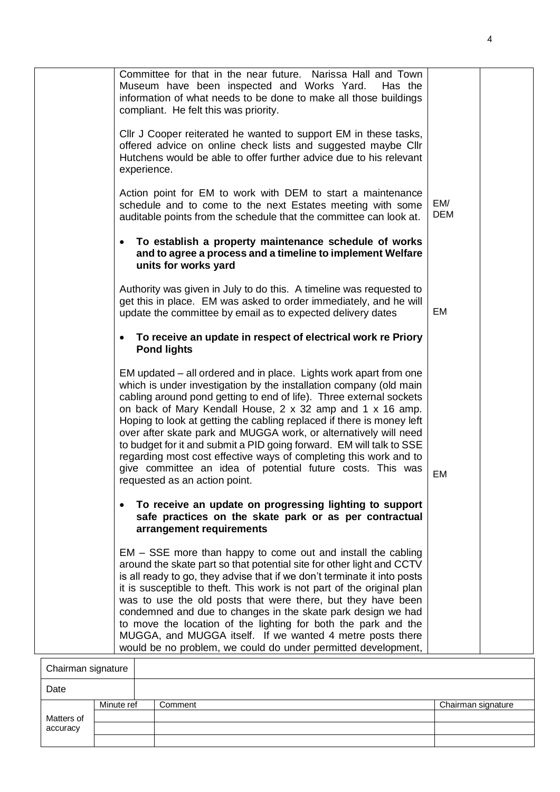|                    | Committee for that in the near future. Narissa Hall and Town<br>Museum have been inspected and Works Yard.<br>Has the<br>information of what needs to be done to make all those buildings<br>compliant. He felt this was priority.                                                                                                                                                                                                                                                                                                                                                                                                                                   |                   |  |
|--------------------|----------------------------------------------------------------------------------------------------------------------------------------------------------------------------------------------------------------------------------------------------------------------------------------------------------------------------------------------------------------------------------------------------------------------------------------------------------------------------------------------------------------------------------------------------------------------------------------------------------------------------------------------------------------------|-------------------|--|
| experience.        | CIIr J Cooper reiterated he wanted to support EM in these tasks,<br>offered advice on online check lists and suggested maybe Cllr<br>Hutchens would be able to offer further advice due to his relevant                                                                                                                                                                                                                                                                                                                                                                                                                                                              |                   |  |
|                    | Action point for EM to work with DEM to start a maintenance<br>schedule and to come to the next Estates meeting with some<br>auditable points from the schedule that the committee can look at.                                                                                                                                                                                                                                                                                                                                                                                                                                                                      | EM/<br><b>DEM</b> |  |
|                    | To establish a property maintenance schedule of works<br>and to agree a process and a timeline to implement Welfare<br>units for works yard                                                                                                                                                                                                                                                                                                                                                                                                                                                                                                                          |                   |  |
|                    | Authority was given in July to do this. A timeline was requested to<br>get this in place. EM was asked to order immediately, and he will<br>update the committee by email as to expected delivery dates                                                                                                                                                                                                                                                                                                                                                                                                                                                              | EM                |  |
|                    | To receive an update in respect of electrical work re Priory<br><b>Pond lights</b>                                                                                                                                                                                                                                                                                                                                                                                                                                                                                                                                                                                   |                   |  |
|                    | EM updated – all ordered and in place. Lights work apart from one<br>which is under investigation by the installation company (old main<br>cabling around pond getting to end of life). Three external sockets<br>on back of Mary Kendall House, 2 x 32 amp and 1 x 16 amp.<br>Hoping to look at getting the cabling replaced if there is money left<br>over after skate park and MUGGA work, or alternatively will need<br>to budget for it and submit a PID going forward. EM will talk to SSE<br>regarding most cost effective ways of completing this work and to<br>give committee an idea of potential future costs. This was<br>requested as an action point. | EM                |  |
|                    | To receive an update on progressing lighting to support<br>safe practices on the skate park or as per contractual<br>arrangement requirements                                                                                                                                                                                                                                                                                                                                                                                                                                                                                                                        |                   |  |
|                    | EM – SSE more than happy to come out and install the cabling<br>around the skate part so that potential site for other light and CCTV<br>is all ready to go, they advise that if we don't terminate it into posts<br>it is susceptible to theft. This work is not part of the original plan<br>was to use the old posts that were there, but they have been<br>condemned and due to changes in the skate park design we had<br>to move the location of the lighting for both the park and the<br>MUGGA, and MUGGA itself. If we wanted 4 metre posts there<br>would be no problem, we could do under permitted development,                                          |                   |  |
| Chairman eignature |                                                                                                                                                                                                                                                                                                                                                                                                                                                                                                                                                                                                                                                                      |                   |  |

| Chairman signature |            |         |                    |
|--------------------|------------|---------|--------------------|
| Date               |            |         |                    |
|                    | Minute ref | Comment | Chairman signature |
| Matters of         |            |         |                    |
| accuracy           |            |         |                    |
|                    |            |         |                    |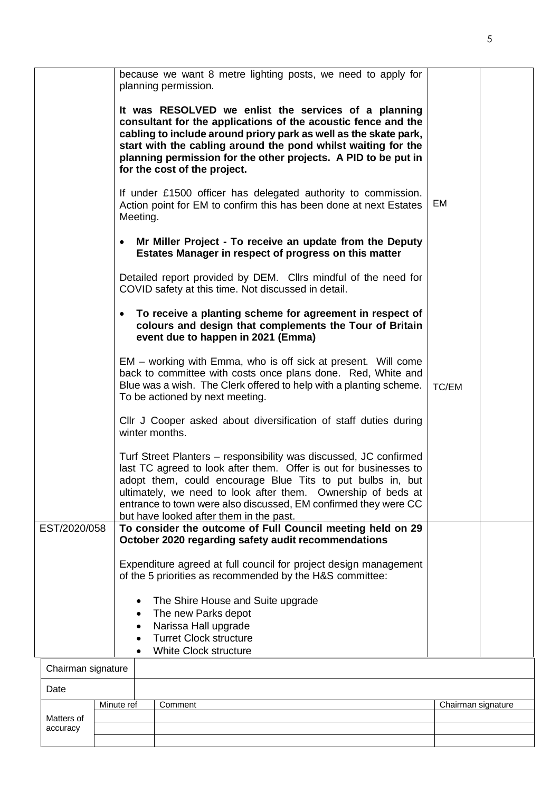|                        | because we want 8 metre lighting posts, we need to apply for<br>planning permission.                                                                                                                                                                                                                                                                                               |                    |
|------------------------|------------------------------------------------------------------------------------------------------------------------------------------------------------------------------------------------------------------------------------------------------------------------------------------------------------------------------------------------------------------------------------|--------------------|
|                        | It was RESOLVED we enlist the services of a planning<br>consultant for the applications of the acoustic fence and the<br>cabling to include around priory park as well as the skate park,<br>start with the cabling around the pond whilst waiting for the<br>planning permission for the other projects. A PID to be put in<br>for the cost of the project.                       |                    |
|                        | If under £1500 officer has delegated authority to commission.<br>Action point for EM to confirm this has been done at next Estates<br>Meeting.                                                                                                                                                                                                                                     | EM                 |
|                        | Mr Miller Project - To receive an update from the Deputy<br>$\bullet$<br>Estates Manager in respect of progress on this matter                                                                                                                                                                                                                                                     |                    |
|                        | Detailed report provided by DEM. Cllrs mindful of the need for<br>COVID safety at this time. Not discussed in detail.                                                                                                                                                                                                                                                              |                    |
|                        | To receive a planting scheme for agreement in respect of<br>$\bullet$<br>colours and design that complements the Tour of Britain<br>event due to happen in 2021 (Emma)                                                                                                                                                                                                             |                    |
|                        | EM – working with Emma, who is off sick at present. Will come<br>back to committee with costs once plans done. Red, White and<br>Blue was a wish. The Clerk offered to help with a planting scheme.<br>To be actioned by next meeting.                                                                                                                                             | TC/EM              |
|                        | CIIr J Cooper asked about diversification of staff duties during<br>winter months.                                                                                                                                                                                                                                                                                                 |                    |
|                        | Turf Street Planters - responsibility was discussed, JC confirmed<br>last TC agreed to look after them. Offer is out for businesses to<br>adopt them, could encourage Blue Tits to put bulbs in, but<br>ultimately, we need to look after them. Ownership of beds at<br>entrance to town were also discussed, EM confirmed they were CC<br>but have looked after them in the past. |                    |
| EST/2020/058           | To consider the outcome of Full Council meeting held on 29<br>October 2020 regarding safety audit recommendations                                                                                                                                                                                                                                                                  |                    |
|                        | Expenditure agreed at full council for project design management<br>of the 5 priorities as recommended by the H&S committee:                                                                                                                                                                                                                                                       |                    |
|                        | The Shire House and Suite upgrade<br>$\bullet$<br>The new Parks depot<br>Narissa Hall upgrade<br>٠<br><b>Turret Clock structure</b><br>White Clock structure                                                                                                                                                                                                                       |                    |
| Chairman signature     |                                                                                                                                                                                                                                                                                                                                                                                    |                    |
| Date                   |                                                                                                                                                                                                                                                                                                                                                                                    |                    |
|                        | Minute ref<br>Comment                                                                                                                                                                                                                                                                                                                                                              | Chairman signature |
| Matters of<br>accuracy |                                                                                                                                                                                                                                                                                                                                                                                    |                    |

5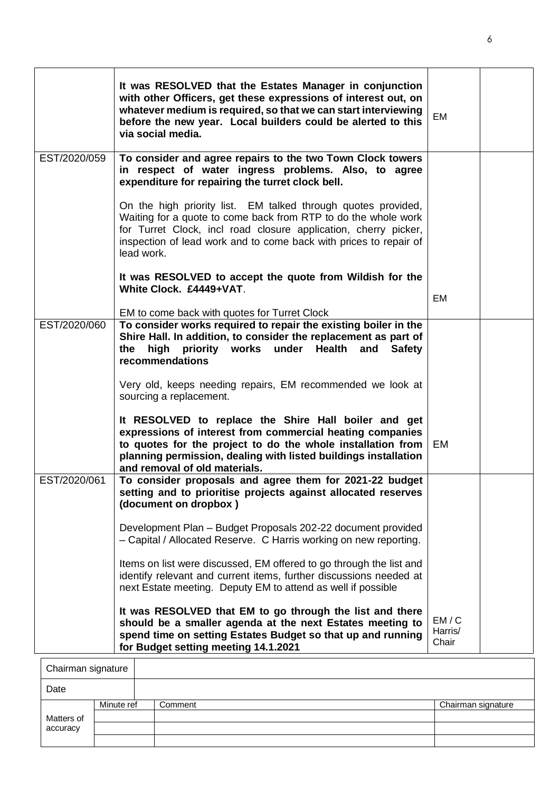|              | It was RESOLVED that the Estates Manager in conjunction<br>with other Officers, get these expressions of interest out, on<br>whatever medium is required, so that we can start interviewing<br>before the new year. Local builders could be alerted to this<br>via social media.      | EM                       |  |
|--------------|---------------------------------------------------------------------------------------------------------------------------------------------------------------------------------------------------------------------------------------------------------------------------------------|--------------------------|--|
| EST/2020/059 | To consider and agree repairs to the two Town Clock towers<br>in respect of water ingress problems. Also, to agree<br>expenditure for repairing the turret clock bell.                                                                                                                |                          |  |
|              | On the high priority list. EM talked through quotes provided,<br>Waiting for a quote to come back from RTP to do the whole work<br>for Turret Clock, incl road closure application, cherry picker,<br>inspection of lead work and to come back with prices to repair of<br>lead work. |                          |  |
|              | It was RESOLVED to accept the quote from Wildish for the                                                                                                                                                                                                                              |                          |  |
|              | White Clock. £4449+VAT.                                                                                                                                                                                                                                                               | EM                       |  |
|              | EM to come back with quotes for Turret Clock                                                                                                                                                                                                                                          |                          |  |
| EST/2020/060 | To consider works required to repair the existing boiler in the<br>Shire Hall. In addition, to consider the replacement as part of<br>high<br>priority works<br>under<br><b>Health</b><br>the<br>and<br><b>Safety</b><br>recommendations                                              |                          |  |
|              | Very old, keeps needing repairs, EM recommended we look at<br>sourcing a replacement.                                                                                                                                                                                                 |                          |  |
|              | It RESOLVED to replace the Shire Hall boiler and get<br>expressions of interest from commercial heating companies<br>to quotes for the project to do the whole installation from<br>planning permission, dealing with listed buildings installation<br>and removal of old materials.  | EM                       |  |
| EST/2020/061 | To consider proposals and agree them for 2021-22 budget<br>setting and to prioritise projects against allocated reserves<br>(document on dropbox)                                                                                                                                     |                          |  |
|              | Development Plan - Budget Proposals 202-22 document provided<br>- Capital / Allocated Reserve. C Harris working on new reporting.                                                                                                                                                     |                          |  |
|              | Items on list were discussed, EM offered to go through the list and<br>identify relevant and current items, further discussions needed at<br>next Estate meeting. Deputy EM to attend as well if possible                                                                             |                          |  |
|              | It was RESOLVED that EM to go through the list and there<br>should be a smaller agenda at the next Estates meeting to<br>spend time on setting Estates Budget so that up and running<br>for Budget setting meeting 14.1.2021                                                          | EM/C<br>Harris/<br>Chair |  |
|              |                                                                                                                                                                                                                                                                                       |                          |  |

| Chairman signature |            |         |                    |
|--------------------|------------|---------|--------------------|
| Date               |            |         |                    |
|                    | Minute ref | Comment | Chairman signature |
| Matters of         |            |         |                    |
| accuracy           |            |         |                    |
|                    |            |         |                    |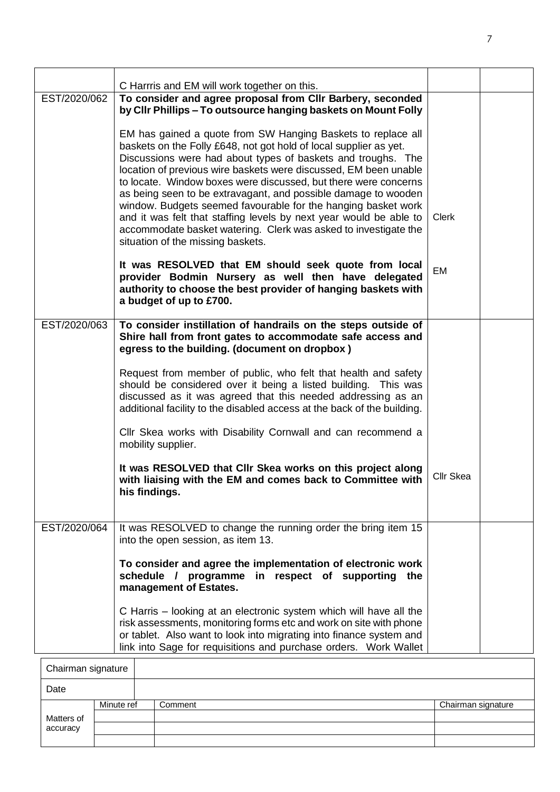|              | C Harrris and EM will work together on this.                                                                                                                                                                                                                                                                                                                                                                                                                                                                                                                                                                                                              |                  |  |
|--------------|-----------------------------------------------------------------------------------------------------------------------------------------------------------------------------------------------------------------------------------------------------------------------------------------------------------------------------------------------------------------------------------------------------------------------------------------------------------------------------------------------------------------------------------------------------------------------------------------------------------------------------------------------------------|------------------|--|
| EST/2020/062 | To consider and agree proposal from CIIr Barbery, seconded<br>by Cllr Phillips - To outsource hanging baskets on Mount Folly                                                                                                                                                                                                                                                                                                                                                                                                                                                                                                                              |                  |  |
|              | EM has gained a quote from SW Hanging Baskets to replace all<br>baskets on the Folly £648, not got hold of local supplier as yet.<br>Discussions were had about types of baskets and troughs. The<br>location of previous wire baskets were discussed, EM been unable<br>to locate. Window boxes were discussed, but there were concerns<br>as being seen to be extravagant, and possible damage to wooden<br>window. Budgets seemed favourable for the hanging basket work<br>and it was felt that staffing levels by next year would be able to<br>accommodate basket watering. Clerk was asked to investigate the<br>situation of the missing baskets. | Clerk            |  |
|              | It was RESOLVED that EM should seek quote from local<br>provider Bodmin Nursery as well then have delegated<br>authority to choose the best provider of hanging baskets with<br>a budget of up to £700.                                                                                                                                                                                                                                                                                                                                                                                                                                                   | EM               |  |
| EST/2020/063 | To consider instillation of handrails on the steps outside of<br>Shire hall from front gates to accommodate safe access and<br>egress to the building. (document on dropbox)                                                                                                                                                                                                                                                                                                                                                                                                                                                                              |                  |  |
|              | Request from member of public, who felt that health and safety<br>should be considered over it being a listed building. This was<br>discussed as it was agreed that this needed addressing as an<br>additional facility to the disabled access at the back of the building.                                                                                                                                                                                                                                                                                                                                                                               |                  |  |
|              | CIIr Skea works with Disability Cornwall and can recommend a<br>mobility supplier.                                                                                                                                                                                                                                                                                                                                                                                                                                                                                                                                                                        |                  |  |
|              | It was RESOLVED that CIIr Skea works on this project along<br>with liaising with the EM and comes back to Committee with<br>his findings.                                                                                                                                                                                                                                                                                                                                                                                                                                                                                                                 | <b>Cllr Skea</b> |  |
| EST/2020/064 | It was RESOLVED to change the running order the bring item 15<br>into the open session, as item 13.                                                                                                                                                                                                                                                                                                                                                                                                                                                                                                                                                       |                  |  |
|              | To consider and agree the implementation of electronic work<br>schedule / programme in respect of supporting<br>the<br>management of Estates.                                                                                                                                                                                                                                                                                                                                                                                                                                                                                                             |                  |  |
|              | C Harris – looking at an electronic system which will have all the<br>risk assessments, monitoring forms etc and work on site with phone<br>or tablet. Also want to look into migrating into finance system and<br>link into Sage for requisitions and purchase orders. Work Wallet                                                                                                                                                                                                                                                                                                                                                                       |                  |  |
| nirman       |                                                                                                                                                                                                                                                                                                                                                                                                                                                                                                                                                                                                                                                           |                  |  |

| Chairman signature |            |         |                    |
|--------------------|------------|---------|--------------------|
| Date               |            |         |                    |
|                    | Minute ref | Comment | Chairman signature |
| Matters of         |            |         |                    |
| accuracy           |            |         |                    |
|                    |            |         |                    |